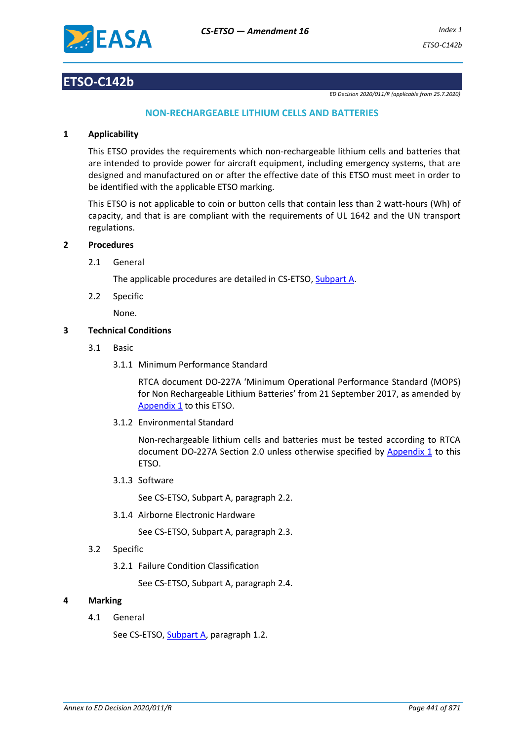

## **ETSO-C142b**

*ED Decision 2020/011/R (applicable from 25.7.2020)*

## **NON-RECHARGEABLE LITHIUM CELLS AND BATTERIES**

#### **1 Applicability**

This ETSO provides the requirements which non-rechargeable lithium cells and batteries that are intended to provide power for aircraft equipment, including emergency systems, that are designed and manufactured on or after the effective date of this ETSO must meet in order to be identified with the applicable ETSO marking.

This ETSO is not applicable to coin or button cells that contain less than 2 watt-hours (Wh) of capacity, and that is are compliant with the requirements of UL 1642 and the UN transport regulations.

#### **2 Procedures**

2.1 General

The applicable procedures are detailed in CS-ETSO, Subpart A.

2.2 Specific

None.

## **3 Technical Conditions**

- 3.1 Basic
	- 3.1.1 Minimum Performance Standard

RTCA document DO-227A 'Minimum Operational Performance Standard (MOPS) for Non Rechargeable Lithium Batteries' from 21 September 2017, as amended by [Appendix 1](#page-2-0) to this ETSO.

3.1.2 Environmental Standard

Non-rechargeable lithium cells and batteries must be tested according to RTCA document DO-227A Section 2.0 unless otherwise specified by [Appendix 1](#page-2-0) to this ETSO.

3.1.3 Software

See CS-ETSO, Subpart A, paragraph 2.2.

3.1.4 Airborne Electronic Hardware

See CS-ETSO, Subpart A, paragraph 2.3.

- 3.2 Specific
	- 3.2.1 Failure Condition Classification

See CS-ETSO, Subpart A, paragraph 2.4.

## **4 Marking**

4.1 General

See CS-ETSO, Subpart A, paragraph 1.2.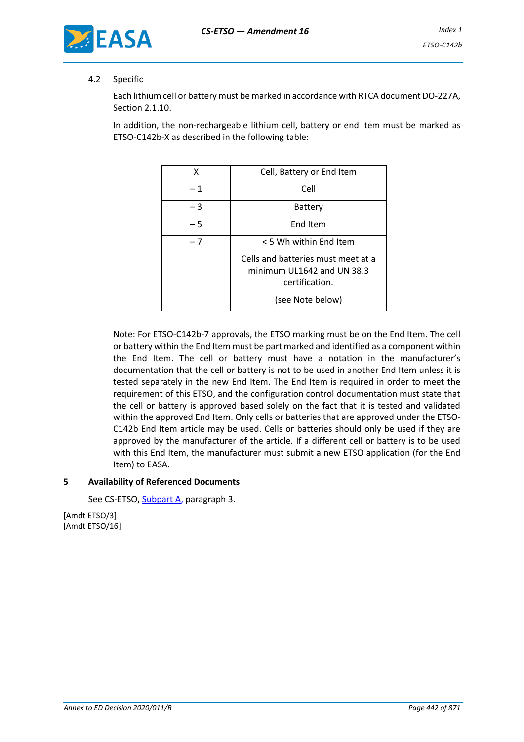

## 4.2 Specific

Each lithium cell or battery must be marked in accordance with RTCA document DO-227A, Section 2.1.10.

In addition, the non-rechargeable lithium cell, battery or end item must be marked as ETSO-C142b-X as described in the following table:

| Χ    | Cell, Battery or End Item                                                                              |  |
|------|--------------------------------------------------------------------------------------------------------|--|
| $-1$ | Cell                                                                                                   |  |
| - 3  | Battery                                                                                                |  |
| - 5  | End Item                                                                                               |  |
| $-7$ | < 5 Wh within End Item                                                                                 |  |
|      | Cells and batteries must meet at a<br>minimum UL1642 and UN 38.3<br>certification.<br>(see Note below) |  |

Note: For ETSO-C142b-7 approvals, the ETSO marking must be on the End Item. The cell or battery within the End Item must be part marked and identified as a component within the End Item. The cell or battery must have a notation in the manufacturer's documentation that the cell or battery is not to be used in another End Item unless it is tested separately in the new End Item. The End Item is required in order to meet the requirement of this ETSO, and the configuration control documentation must state that the cell or battery is approved based solely on the fact that it is tested and validated within the approved End Item. Only cells or batteries that are approved under the ETSO-C142b End Item article may be used. Cells or batteries should only be used if they are approved by the manufacturer of the article. If a different cell or battery is to be used with this End Item, the manufacturer must submit a new ETSO application (for the End Item) to EASA.

#### **5 Availability of Referenced Documents**

See CS-ETSO, Subpart A, paragraph 3.

[Amdt ETSO/3] [Amdt ETSO/16]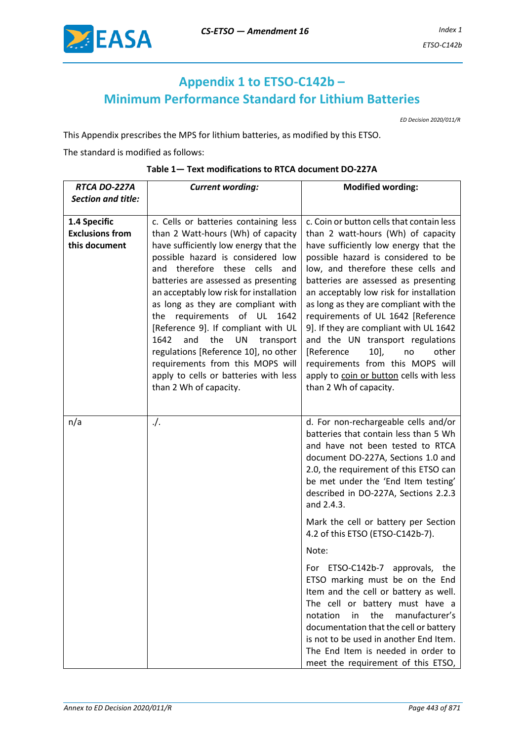

# <span id="page-2-0"></span>**Appendix 1 to ETSO-C142b – Minimum Performance Standard for Lithium Batteries**

*ED Decision 2020/011/R*

This Appendix prescribes the MPS for lithium batteries, as modified by this ETSO.

The standard is modified as follows:

| RTCA DO-227A                                            | <b>Current wording:</b>                                                                                                                                                                                                                                                                                                                                                                                                                                                                                                                                                                           | <b>Modified wording:</b>                                                                                                                                                                                                                                                                                                                                                                                                                                                                                                                                                                                                                                                                                                                                 |
|---------------------------------------------------------|---------------------------------------------------------------------------------------------------------------------------------------------------------------------------------------------------------------------------------------------------------------------------------------------------------------------------------------------------------------------------------------------------------------------------------------------------------------------------------------------------------------------------------------------------------------------------------------------------|----------------------------------------------------------------------------------------------------------------------------------------------------------------------------------------------------------------------------------------------------------------------------------------------------------------------------------------------------------------------------------------------------------------------------------------------------------------------------------------------------------------------------------------------------------------------------------------------------------------------------------------------------------------------------------------------------------------------------------------------------------|
| <b>Section and title:</b>                               |                                                                                                                                                                                                                                                                                                                                                                                                                                                                                                                                                                                                   |                                                                                                                                                                                                                                                                                                                                                                                                                                                                                                                                                                                                                                                                                                                                                          |
| 1.4 Specific<br><b>Exclusions from</b><br>this document | c. Cells or batteries containing less<br>than 2 Watt-hours (Wh) of capacity<br>have sufficiently low energy that the<br>possible hazard is considered low<br>and therefore these cells<br>and<br>batteries are assessed as presenting<br>an acceptably low risk for installation<br>as long as they are compliant with<br>requirements<br>of UL 1642<br>the<br>[Reference 9]. If compliant with UL<br>1642<br>and<br>the<br><b>UN</b><br>transport<br>regulations [Reference 10], no other<br>requirements from this MOPS will<br>apply to cells or batteries with less<br>than 2 Wh of capacity. | c. Coin or button cells that contain less<br>than 2 watt-hours (Wh) of capacity<br>have sufficiently low energy that the<br>possible hazard is considered to be<br>low, and therefore these cells and<br>batteries are assessed as presenting<br>an acceptably low risk for installation<br>as long as they are compliant with the<br>requirements of UL 1642 [Reference<br>9]. If they are compliant with UL 1642<br>and the UN transport regulations<br>[Reference<br>$10$ ],<br>other<br>no<br>requirements from this MOPS will<br>apply to coin or button cells with less<br>than 2 Wh of capacity.                                                                                                                                                  |
| n/a                                                     | $\cdot$ /.                                                                                                                                                                                                                                                                                                                                                                                                                                                                                                                                                                                        | d. For non-rechargeable cells and/or<br>batteries that contain less than 5 Wh<br>and have not been tested to RTCA<br>document DO-227A, Sections 1.0 and<br>2.0, the requirement of this ETSO can<br>be met under the 'End Item testing'<br>described in DO-227A, Sections 2.2.3<br>and 2.4.3.<br>Mark the cell or battery per Section<br>4.2 of this ETSO (ETSO-C142b-7).<br>Note:<br>ETSO-C142b-7<br>approvals,<br>For<br>the<br>ETSO marking must be on the End<br>Item and the cell or battery as well.<br>The cell or battery must have a<br>the<br>manufacturer's<br>notation<br>in<br>documentation that the cell or battery<br>is not to be used in another End Item.<br>The End Item is needed in order to<br>meet the requirement of this ETSO, |

#### **Table 1— Text modifications to RTCA document DO-227A**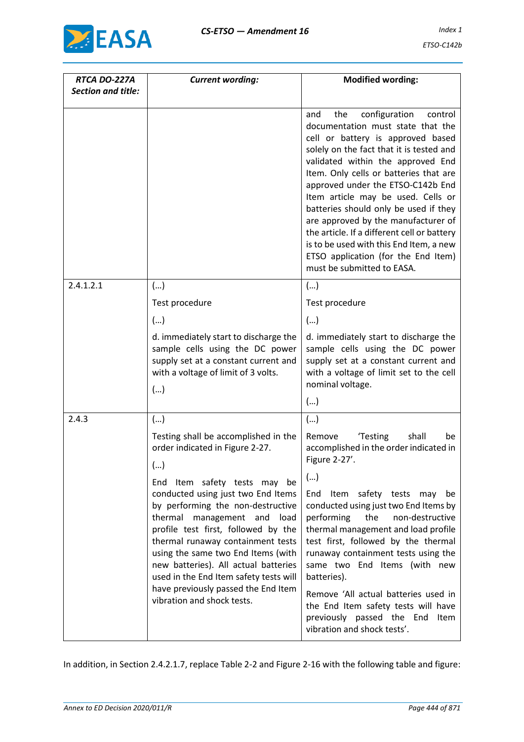

| RTCA DO-227A              | <b>Current wording:</b>                                                                                                                                                                                                                                                                                | <b>Modified wording:</b>                                                                                                                                                                                                                                                                                                                                                                                                                                                                                                                                              |
|---------------------------|--------------------------------------------------------------------------------------------------------------------------------------------------------------------------------------------------------------------------------------------------------------------------------------------------------|-----------------------------------------------------------------------------------------------------------------------------------------------------------------------------------------------------------------------------------------------------------------------------------------------------------------------------------------------------------------------------------------------------------------------------------------------------------------------------------------------------------------------------------------------------------------------|
| <b>Section and title:</b> |                                                                                                                                                                                                                                                                                                        |                                                                                                                                                                                                                                                                                                                                                                                                                                                                                                                                                                       |
|                           |                                                                                                                                                                                                                                                                                                        | configuration<br>control<br>the<br>and<br>documentation must state that the<br>cell or battery is approved based<br>solely on the fact that it is tested and<br>validated within the approved End<br>Item. Only cells or batteries that are<br>approved under the ETSO-C142b End<br>Item article may be used. Cells or<br>batteries should only be used if they<br>are approved by the manufacturer of<br>the article. If a different cell or battery<br>is to be used with this End Item, a new<br>ETSO application (for the End Item)<br>must be submitted to EASA. |
| 2.4.1.2.1                 | ()                                                                                                                                                                                                                                                                                                     | ()                                                                                                                                                                                                                                                                                                                                                                                                                                                                                                                                                                    |
|                           | Test procedure                                                                                                                                                                                                                                                                                         | Test procedure                                                                                                                                                                                                                                                                                                                                                                                                                                                                                                                                                        |
|                           | ()                                                                                                                                                                                                                                                                                                     | ()                                                                                                                                                                                                                                                                                                                                                                                                                                                                                                                                                                    |
|                           | d. immediately start to discharge the<br>sample cells using the DC power<br>supply set at a constant current and<br>with a voltage of limit of 3 volts.<br>()                                                                                                                                          | d. immediately start to discharge the<br>sample cells using the DC power<br>supply set at a constant current and<br>with a voltage of limit set to the cell<br>nominal voltage.<br>()                                                                                                                                                                                                                                                                                                                                                                                 |
| 2.4.3                     | ()                                                                                                                                                                                                                                                                                                     | ()                                                                                                                                                                                                                                                                                                                                                                                                                                                                                                                                                                    |
|                           | Testing shall be accomplished in the<br>order indicated in Figure 2-27.<br>()<br>End Item safety tests may be<br>conducted using just two End Items<br>by performing the non-destructive<br>thermal management and<br>load<br>profile test first, followed by the<br>thermal runaway containment tests | 'Testing<br>shall<br>Remove<br>be<br>accomplished in the order indicated in<br>Figure 2-27'.<br>()<br>End<br>safety tests may<br>Item<br>be<br>conducted using just two End Items by<br>performing<br>the<br>non-destructive<br>thermal management and load profile<br>test first, followed by the thermal                                                                                                                                                                                                                                                            |
|                           | using the same two End Items (with<br>new batteries). All actual batteries<br>used in the End Item safety tests will<br>have previously passed the End Item<br>vibration and shock tests.                                                                                                              | runaway containment tests using the<br>same two End Items (with new<br>batteries).<br>Remove 'All actual batteries used in<br>the End Item safety tests will have<br>previously passed the End Item<br>vibration and shock tests'.                                                                                                                                                                                                                                                                                                                                    |

In addition, in Section 2.4.2.1.7, replace Table 2-2 and Figure 2-16 with the following table and figure: